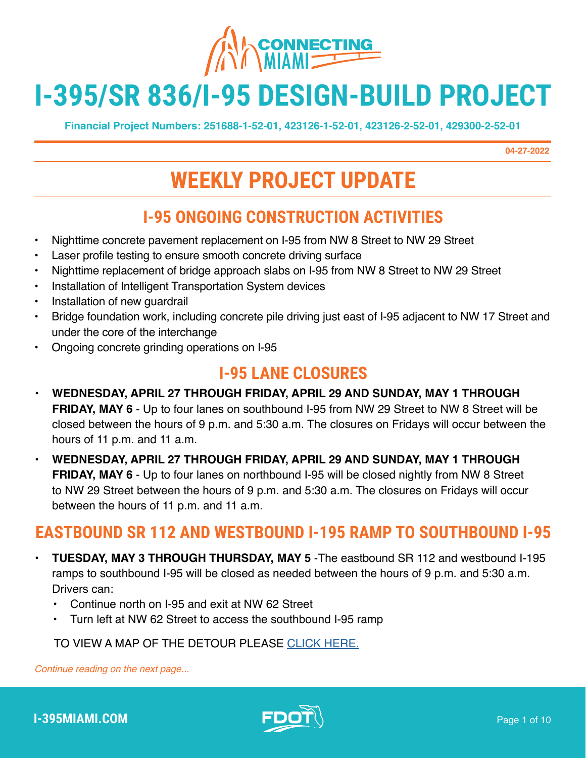

# **I-395/SR 836/I-95 DESIGN-BUILD PROJECT**

**Financial Project Numbers: 251688-1-52-01, 423126-1-52-01, 423126-2-52-01, 429300-2-52-01**

**04-27-2022**

## **WEEKLY PROJECT UPDATE**

#### **I-95 ONGOING CONSTRUCTION ACTIVITIES**

- Nighttime concrete pavement replacement on I-95 from NW 8 Street to NW 29 Street
- Laser profile testing to ensure smooth concrete driving surface
- Nighttime replacement of bridge approach slabs on I-95 from NW 8 Street to NW 29 Street
- Installation of Intelligent Transportation System devices
- Installation of new guardrail
- Bridge foundation work, including concrete pile driving just east of I-95 adjacent to NW 17 Street and under the core of the interchange
- Ongoing concrete grinding operations on I-95

#### **I-95 LANE CLOSURES**

- **• WEDNESDAY, APRIL 27 THROUGH FRIDAY, APRIL 29 AND SUNDAY, MAY 1 THROUGH FRIDAY, MAY 6** - Up to four lanes on southbound I-95 from NW 29 Street to NW 8 Street will be closed between the hours of 9 p.m. and 5:30 a.m. The closures on Fridays will occur between the hours of 11 p.m. and 11 a.m.
- **• WEDNESDAY, APRIL 27 THROUGH FRIDAY, APRIL 29 AND SUNDAY, MAY 1 THROUGH FRIDAY, MAY 6** - Up to four lanes on northbound I-95 will be closed nightly from NW 8 Street to NW 29 Street between the hours of 9 p.m. and 5:30 a.m. The closures on Fridays will occur between the hours of 11 p.m. and 11 a.m.

#### **EASTBOUND SR 112 AND WESTBOUND I-195 RAMP TO SOUTHBOUND I-95**

- **• TUESDAY, MAY 3 THROUGH THURSDAY, MAY 5** -The eastbound SR 112 and westbound I-195 ramps to southbound I-95 will be closed as needed between the hours of 9 p.m. and 5:30 a.m. Drivers can:
	- Continue north on I-95 and exit at NW 62 Street
	- Turn left at NW 62 Street to access the southbound I-95 ramp

TO VIEW A MAP OF THE DETOUR PLEASE [CLICK HERE.](https://i395-miami.com/alerts/details/Alert-395-WB195EB95-Map.pdf)

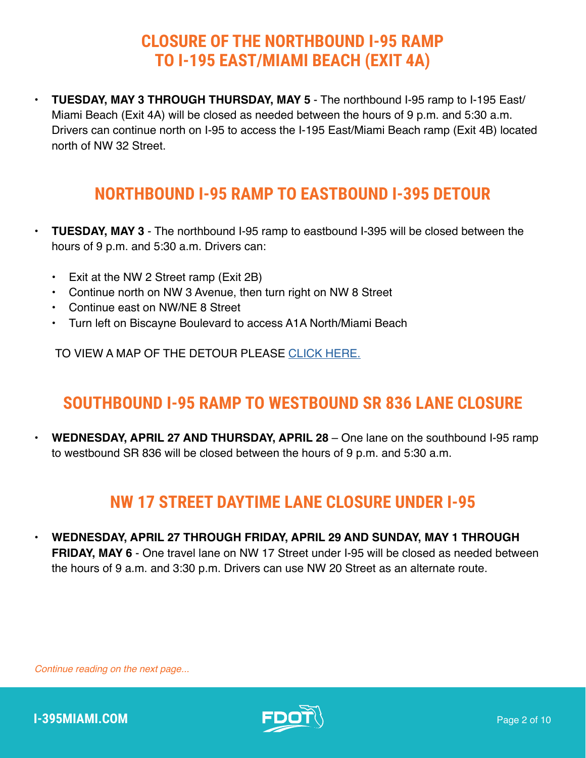#### **CLOSURE OF THE NORTHBOUND I-95 RAMP TO I-195 EAST/MIAMI BEACH (EXIT 4A)**

**• TUESDAY, MAY 3 THROUGH THURSDAY, MAY 5** - The northbound I-95 ramp to I-195 East/ Miami Beach (Exit 4A) will be closed as needed between the hours of 9 p.m. and 5:30 a.m. Drivers can continue north on I-95 to access the I-195 East/Miami Beach ramp (Exit 4B) located north of NW 32 Street.

#### **NORTHBOUND I-95 RAMP TO EASTBOUND I-395 DETOUR**

- **• TUESDAY, MAY 3** The northbound I-95 ramp to eastbound I-395 will be closed between the hours of 9 p.m. and 5:30 a.m. Drivers can:
	- Exit at the NW 2 Street ramp (Exit 2B)
	- Continue north on NW 3 Avenue, then turn right on NW 8 Street
	- Continue east on NW/NE 8 Street
	- Turn left on Biscayne Boulevard to access A1A North/Miami Beach

TO VIEW A MAP OF THE DETOUR PLEASE [CLICK HERE.](https://www.i395-miami.com/alerts/details/Alert-395-95NB-06142019.pdf)

#### **SOUTHBOUND I-95 RAMP TO WESTBOUND SR 836 LANE CLOSURE**

**• WEDNESDAY, APRIL 27 AND THURSDAY, APRIL 28** – One lane on the southbound I-95 ramp to westbound SR 836 will be closed between the hours of 9 p.m. and 5:30 a.m.

#### **NW 17 STREET DAYTIME LANE CLOSURE UNDER I-95**

**• WEDNESDAY, APRIL 27 THROUGH FRIDAY, APRIL 29 AND SUNDAY, MAY 1 THROUGH FRIDAY, MAY 6** - One travel lane on NW 17 Street under I-95 will be closed as needed between the hours of 9 a.m. and 3:30 p.m. Drivers can use NW 20 Street as an alternate route.

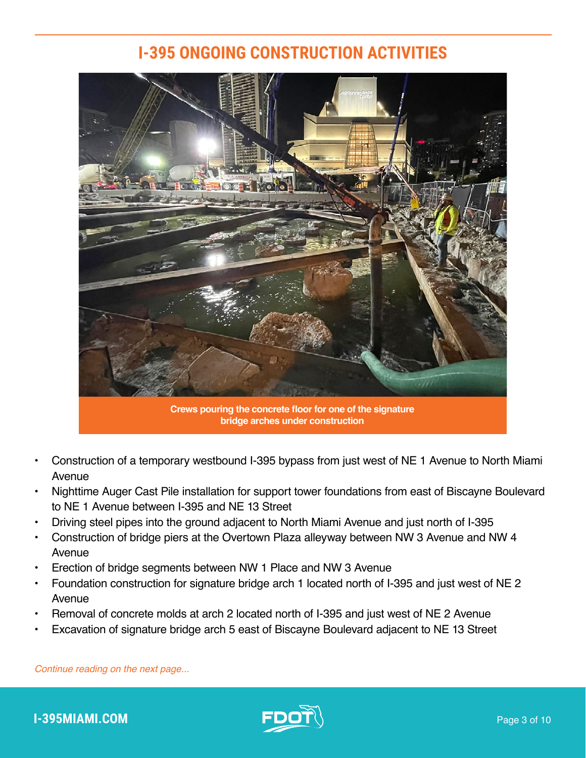#### **I-395 ONGOING CONSTRUCTION ACTIVITIES**



- Construction of a temporary westbound I-395 bypass from just west of NE 1 Avenue to North Miami Avenue
- Nighttime Auger Cast Pile installation for support tower foundations from east of Biscayne Boulevard to NE 1 Avenue between I-395 and NE 13 Street
- Driving steel pipes into the ground adjacent to North Miami Avenue and just north of I-395
- Construction of bridge piers at the Overtown Plaza alleyway between NW 3 Avenue and NW 4 Avenue
- Erection of bridge segments between NW 1 Place and NW 3 Avenue
- Foundation construction for signature bridge arch 1 located north of I-395 and just west of NE 2 Avenue
- Removal of concrete molds at arch 2 located north of I-395 and just west of NE 2 Avenue
- Excavation of signature bridge arch 5 east of Biscayne Boulevard adjacent to NE 13 Street

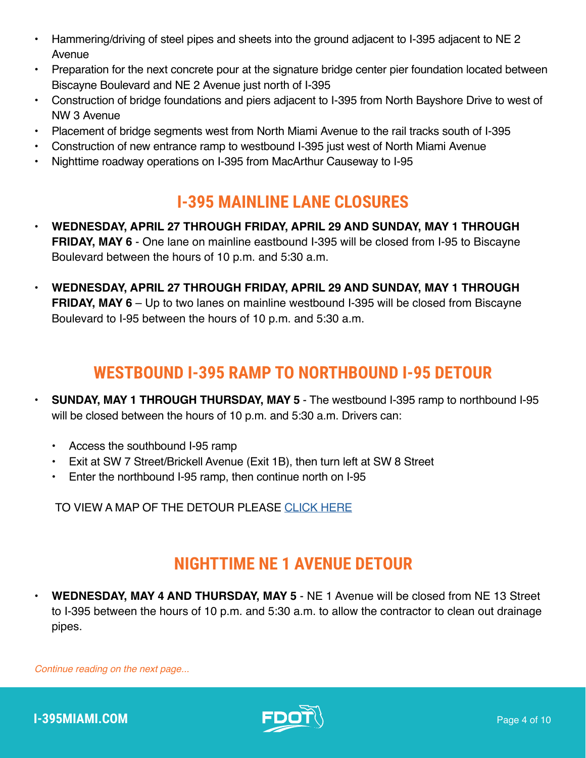- Hammering/driving of steel pipes and sheets into the ground adjacent to I-395 adjacent to NE 2 Avenue
- Preparation for the next concrete pour at the signature bridge center pier foundation located between Biscayne Boulevard and NE 2 Avenue just north of I-395
- Construction of bridge foundations and piers adjacent to I-395 from North Bayshore Drive to west of NW 3 Avenue
- Placement of bridge segments west from North Miami Avenue to the rail tracks south of I-395
- Construction of new entrance ramp to westbound I-395 just west of North Miami Avenue
- Nighttime roadway operations on I-395 from MacArthur Causeway to I-95

#### **I-395 MAINLINE LANE CLOSURES**

- **• WEDNESDAY, APRIL 27 THROUGH FRIDAY, APRIL 29 AND SUNDAY, MAY 1 THROUGH FRIDAY, MAY 6** - One lane on mainline eastbound I-395 will be closed from I-95 to Biscayne Boulevard between the hours of 10 p.m. and 5:30 a.m.
- **• WEDNESDAY, APRIL 27 THROUGH FRIDAY, APRIL 29 AND SUNDAY, MAY 1 THROUGH FRIDAY, MAY 6** – Up to two lanes on mainline westbound I-395 will be closed from Biscayne Boulevard to I-95 between the hours of 10 p.m. and 5:30 a.m.

## **WESTBOUND I-395 RAMP TO NORTHBOUND I-95 DETOUR**

- **• SUNDAY, MAY 1 THROUGH THURSDAY, MAY 5**  The westbound I-395 ramp to northbound I-95 will be closed between the hours of 10 p.m. and 5:30 a.m. Drivers can:
	- Access the southbound I-95 ramp
	- Exit at SW 7 Street/Brickell Avenue (Exit 1B), then turn left at SW 8 Street
	- Enter the northbound I-95 ramp, then continue north on I-95

TO VIEW A MAP OF THE DETOUR PLEASE [CLICK HERE](https://i395-miami.com/alerts/details/Alert-395-WB395NB95-Map.pdf)

#### **NIGHTTIME NE 1 AVENUE DETOUR**

**• WEDNESDAY, MAY 4 AND THURSDAY, MAY 5** - NE 1 Avenue will be closed from NE 13 Street to I-395 between the hours of 10 p.m. and 5:30 a.m. to allow the contractor to clean out drainage pipes.

*Continue reading on the next page...*



**I-395MIAMI.COM Page 4 of 10**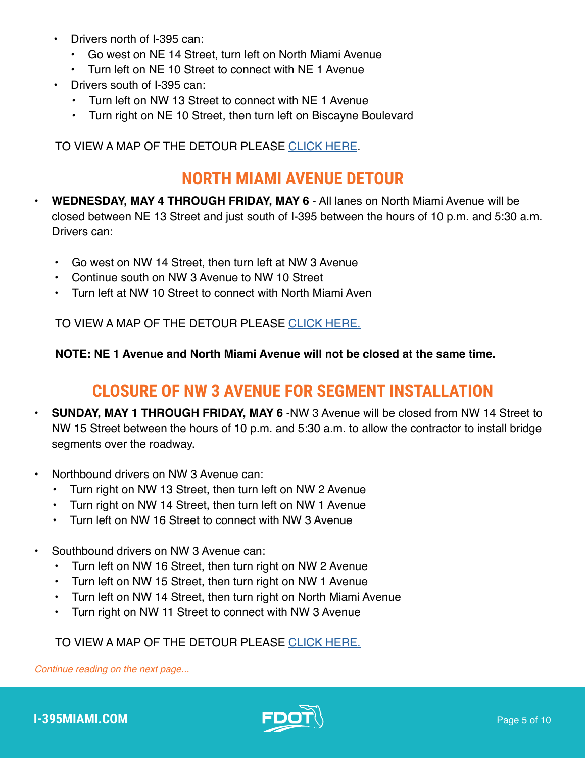- Drivers north of I-395 can:
	- Go west on NE 14 Street, turn left on North Miami Avenue
	- Turn left on NE 10 Street to connect with NE 1 Avenue
- Drivers south of I-395 can:
	- Turn left on NW 13 Street to connect with NE 1 Avenue
	- Turn right on NE 10 Street, then turn left on Biscayne Boulevard

TO VIEW A MAP OF THE DETOUR PLEASE [CLICK HERE](https://i395-miami.com/alerts/details/Alert-395-NE1-Map2.pdf).

#### **NORTH MIAMI AVENUE DETOUR**

**• WEDNESDAY, MAY 4 THROUGH FRIDAY, MAY 6** - All lanes on North Miami Avenue will be closed between NE 13 Street and just south of I-395 between the hours of 10 p.m. and 5:30 a.m. Drivers can:

- Go west on NW 14 Street, then turn left at NW 3 Avenue
- Continue south on NW 3 Avenue to NW 10 Street
- Turn left at NW 10 Street to connect with North Miami Aven

TO VIEW A MAP OF THE DETOUR PLEASE [CLICK HERE.](https://i395-miami.com/alerts/details/Detour-NMiamiAveSB-NE13ST.pdf)

**NOTE: NE 1 Avenue and North Miami Avenue will not be closed at the same time.**

#### **CLOSURE OF NW 3 AVENUE FOR SEGMENT INSTALLATION**

- **• SUNDAY, MAY 1 THROUGH FRIDAY, MAY 6** -NW 3 Avenue will be closed from NW 14 Street to NW 15 Street between the hours of 10 p.m. and 5:30 a.m. to allow the contractor to install bridge segments over the roadway.
- Northbound drivers on NW 3 Avenue can:
	- Turn right on NW 13 Street, then turn left on NW 2 Avenue
	- Turn right on NW 14 Street, then turn left on NW 1 Avenue
	- Turn left on NW 16 Street to connect with NW 3 Avenue
- Southbound drivers on NW 3 Avenue can:
	- Turn left on NW 16 Street, then turn right on NW 2 Avenue
	- Turn left on NW 15 Street, then turn right on NW 1 Avenue
	- Turn left on NW 14 Street, then turn right on North Miami Avenue
	- Turn right on NW 11 Street to connect with NW 3 Avenue

#### TO VIEW A MAP OF THE DETOUR PLEASE [CLICK HERE.](https://i395-miami.com/alerts/details/NW3AVE-NW14ST-CLOSURE.pdf)

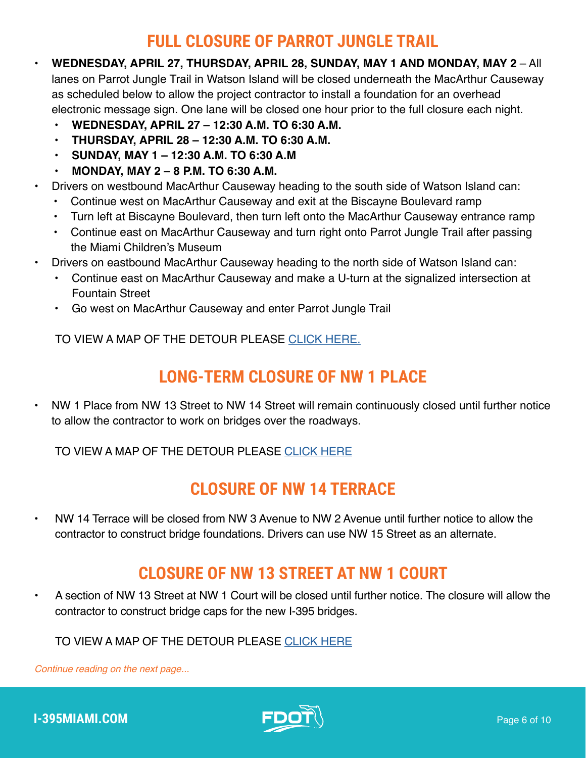#### **FULL CLOSURE OF PARROT JUNGLE TRAIL**

- **• WEDNESDAY, APRIL 27, THURSDAY, APRIL 28, SUNDAY, MAY 1 AND MONDAY, MAY 2** All lanes on Parrot Jungle Trail in Watson Island will be closed underneath the MacArthur Causeway as scheduled below to allow the project contractor to install a foundation for an overhead electronic message sign. One lane will be closed one hour prior to the full closure each night.
	- **• WEDNESDAY, APRIL 27 12:30 A.M. TO 6:30 A.M.**
	- **• THURSDAY, APRIL 28 12:30 A.M. TO 6:30 A.M.**
	- **• SUNDAY, MAY 1 12:30 A.M. TO 6:30 A.M**
	- **• MONDAY, MAY 2 8 P.M. TO 6:30 A.M.**
- Drivers on westbound MacArthur Causeway heading to the south side of Watson Island can:
	- Continue west on MacArthur Causeway and exit at the Biscayne Boulevard ramp
	- Turn left at Biscayne Boulevard, then turn left onto the MacArthur Causeway entrance ramp
	- Continue east on MacArthur Causeway and turn right onto Parrot Jungle Trail after passing the Miami Children's Museum
- Drivers on eastbound MacArthur Causeway heading to the north side of Watson Island can:
	- Continue east on MacArthur Causeway and make a U-turn at the signalized intersection at Fountain Street
	- Go west on MacArthur Causeway and enter Parrot Jungle Trail

TO VIEW A MAP OF THE DETOUR PLEASE [CLICK HERE.](https://i395-miami.com/alerts/details/alert-395-FULL-CLOSURE-OF-PARROT-JUNGLE-TRAIL-Map.pdf)

## **LONG-TERM CLOSURE OF NW 1 PLACE**

• NW 1 Place from NW 13 Street to NW 14 Street will remain continuously closed until further notice to allow the contractor to work on bridges over the roadways.

TO VIEW A MAP OF THE DETOUR PLEASE [CLICK HERE](https://www.i395-miami.com/alerts/details/NW1PLACE-SegDetour.pdf)

#### **CLOSURE OF NW 14 TERRACE**

• NW 14 Terrace will be closed from NW 3 Avenue to NW 2 Avenue until further notice to allow the contractor to construct bridge foundations. Drivers can use NW 15 Street as an alternate.

#### **CLOSURE OF NW 13 STREET AT NW 1 COURT**

• A section of NW 13 Street at NW 1 Court will be closed until further notice. The closure will allow the contractor to construct bridge caps for the new I-395 bridges.

#### TO VIEW A MAP OF THE DETOUR PLEASE [CLICK HERE](https://i395-miami.com/alerts/details/Alert-395-NW1CT13ST-Map.pdf)

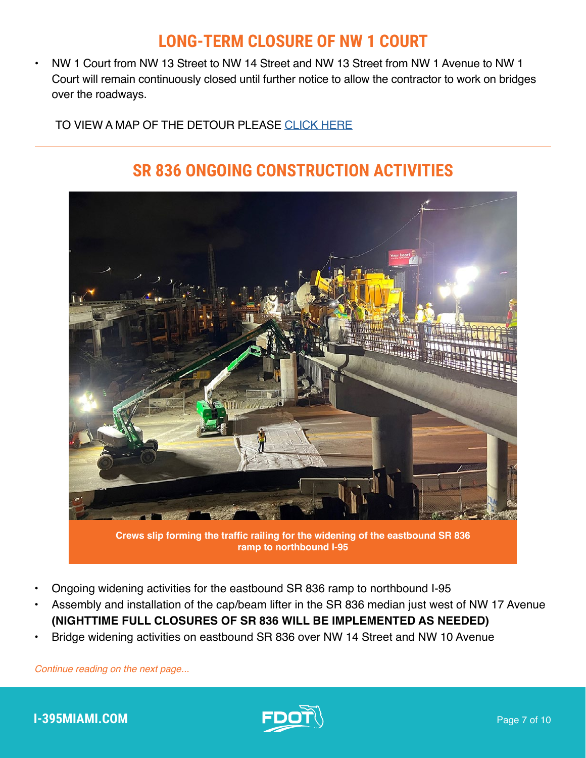#### **LONG-TERM CLOSURE OF NW 1 COURT**

• NW 1 Court from NW 13 Street to NW 14 Street and NW 13 Street from NW 1 Avenue to NW 1 Court will remain continuously closed until further notice to allow the contractor to work on bridges over the roadways.

#### TO VIEW A MAP OF THE DETOUR PLEASE [CLICK HERE](https://i395-miami.com/alerts/details/Alert-395-NW1CT13ST-Map.pdf)

## **SR 836 ONGOING CONSTRUCTION ACTIVITIES**



**Crews slip forming the traffic railing for the widening of the eastbound SR 836 ramp to northbound I-95**

- Ongoing widening activities for the eastbound SR 836 ramp to northbound I-95
- Assembly and installation of the cap/beam lifter in the SR 836 median just west of NW 17 Avenue **(NIGHTTIME FULL CLOSURES OF SR 836 WILL BE IMPLEMENTED AS NEEDED)**
- Bridge widening activities on eastbound SR 836 over NW 14 Street and NW 10 Avenue

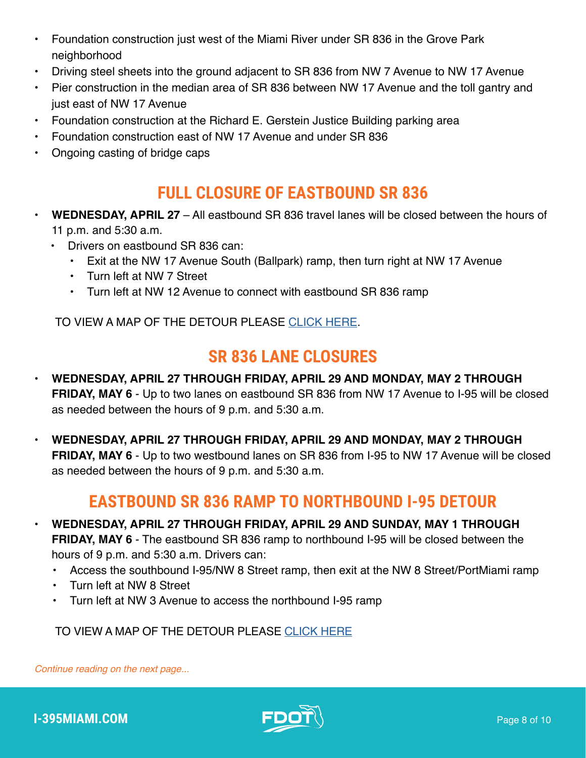- Foundation construction just west of the Miami River under SR 836 in the Grove Park neighborhood
- Driving steel sheets into the ground adjacent to SR 836 from NW 7 Avenue to NW 17 Avenue
- Pier construction in the median area of SR 836 between NW 17 Avenue and the toll gantry and just east of NW 17 Avenue
- Foundation construction at the Richard E. Gerstein Justice Building parking area
- Foundation construction east of NW 17 Avenue and under SR 836
- Ongoing casting of bridge caps

#### **FULL CLOSURE OF EASTBOUND SR 836**

- **• WEDNESDAY, APRIL 27** All eastbound SR 836 travel lanes will be closed between the hours of 11 p.m. and 5:30 a.m.
	- Drivers on eastbound SR 836 can:
		- Exit at the NW 17 Avenue South (Ballpark) ramp, then turn right at NW 17 Avenue
		- Turn left at NW 7 Street
		- Turn left at NW 12 Avenue to connect with eastbound SR 836 ramp

TO VIEW A MAP OF THE DETOUR PLEASE [CLICK HERE](https://www.i395-miami.com/alerts/details/Full-closure-SR836-Map.pdf).

#### **SR 836 LANE CLOSURES**

- **• WEDNESDAY, APRIL 27 THROUGH FRIDAY, APRIL 29 AND MONDAY, MAY 2 THROUGH FRIDAY, MAY 6** - Up to two lanes on eastbound SR 836 from NW 17 Avenue to I-95 will be closed as needed between the hours of 9 p.m. and 5:30 a.m.
- **• WEDNESDAY, APRIL 27 THROUGH FRIDAY, APRIL 29 AND MONDAY, MAY 2 THROUGH FRIDAY, MAY 6** - Up to two westbound lanes on SR 836 from I-95 to NW 17 Avenue will be closed as needed between the hours of 9 p.m. and 5:30 a.m.

#### **EASTBOUND SR 836 RAMP TO NORTHBOUND I-95 DETOUR**

- **• WEDNESDAY, APRIL 27 THROUGH FRIDAY, APRIL 29 AND SUNDAY, MAY 1 THROUGH FRIDAY, MAY 6** - The eastbound SR 836 ramp to northbound I-95 will be closed between the hours of 9 p.m. and 5:30 a.m. Drivers can:
	- Access the southbound I-95/NW 8 Street ramp, then exit at the NW 8 Street/PortMiami ramp
	- Turn left at NW 8 Street
	- Turn left at NW 3 Avenue to access the northbound I-95 ramp

TO VIEW A MAP OF THE DETOUR PLEASE [CLICK HERE](https://i395-miami.com/alerts/details/Alert-395-EB836-NB95-Map.pdf)

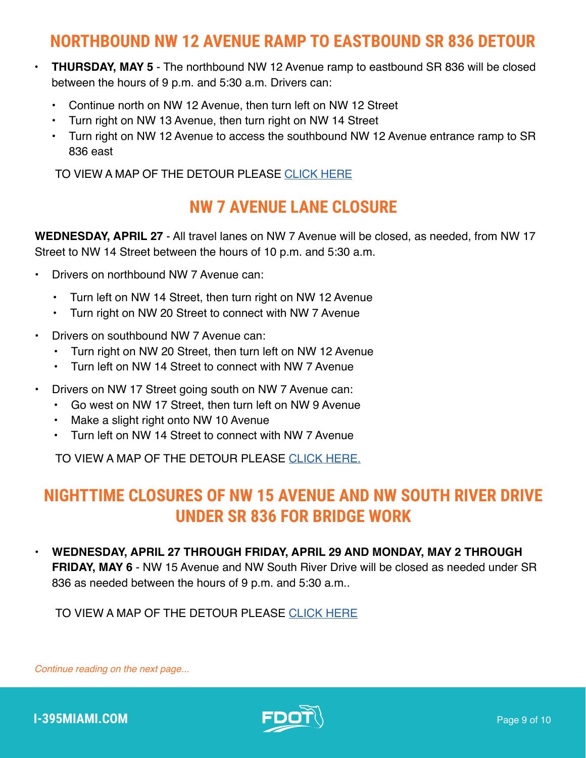#### **NORTHBOUND NW 12 AVENUE RAMP TO EASTBOUND SR 836 DETOUR**

- **• THURSDAY, MAY 5** The northbound NW 12 Avenue ramp to eastbound SR 836 will be closed between the hours of 9 p.m. and 5:30 a.m. Drivers can:
	- Continue north on NW 12 Avenue, then turn left on NW 12 Street
	- Turn right on NW 13 Avenue, then turn right on NW 14 Street
	- Turn right on NW 12 Avenue to access the southbound NW 12 Avenue entrance ramp to SR 836 east

TO VIEW A MAP OF THE DETOUR PLEASE [CLICK HERE](https://www.i395-miami.com/alerts/details/Alert-395-NB12EB836-Map.pdf)

#### **NW 7 AVENUE LANE CLOSURE**

**WEDNESDAY, APRIL 27** - All travel lanes on NW 7 Avenue will be closed, as needed, from NW 17 Street to NW 14 Street between the hours of 10 p.m. and 5:30 a.m.

- Drivers on northbound NW 7 Avenue can:
	- Turn left on NW 14 Street, then turn right on NW 12 Avenue
	- Turn right on NW 20 Street to connect with NW 7 Avenue
- Drivers on southbound NW 7 Avenue can:
	- Turn right on NW 20 Street, then turn left on NW 12 Avenue
	- Turn left on NW 14 Street to connect with NW 7 Avenue
- Drivers on NW 17 Street going south on NW 7 Avenue can:
	- Go west on NW 17 Street, then turn left on NW 9 Avenue
	- Make a slight right onto NW 10 Avenue
	- Turn left on NW 14 Street to connect with NW 7 Avenue

TO VIEW A MAP OF THE DETOUR PLEASE [CLICK HERE.](https://i395-miami.com/alerts/details/Alert-395-7AVE-Map.pdf)

#### **NIGHTTIME CLOSURES OF NW 15 AVENUE AND NW SOUTH RIVER DRIVE UNDER SR 836 FOR BRIDGE WORK**

**• WEDNESDAY, APRIL 27 THROUGH FRIDAY, APRIL 29 AND MONDAY, MAY 2 THROUGH FRIDAY, MAY 6** - NW 15 Avenue and NW South River Drive will be closed as needed under SR 836 as needed between the hours of 9 p.m. and 5:30 a.m..

TO VIEW A MAP OF THE DETOUR PLEASE [CLICK HERE](https://i395-miami.com/alerts/details/Alert-395-15AVESRIVER-Map.pdf)

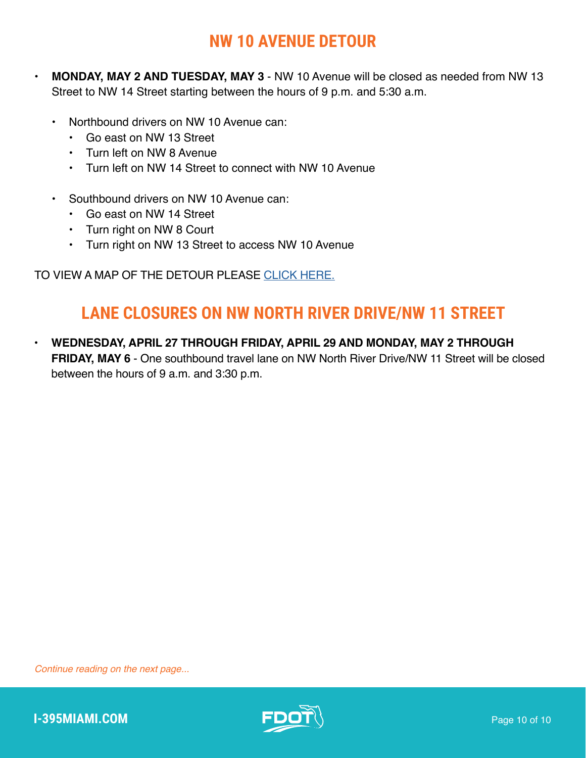## **NW 10 AVENUE DETOUR**

- **• MONDAY, MAY 2 AND TUESDAY, MAY 3** NW 10 Avenue will be closed as needed from NW 13 Street to NW 14 Street starting between the hours of 9 p.m. and 5:30 a.m.
	- Northbound drivers on NW 10 Avenue can:
		- Go east on NW 13 Street
		- Turn left on NW 8 Avenue
		- Turn left on NW 14 Street to connect with NW 10 Avenue
	- Southbound drivers on NW 10 Avenue can:
		- Go east on NW 14 Street
		- Turn right on NW 8 Court
		- Turn right on NW 13 Street to access NW 10 Avenue

TO VIEW A MAP OF THE DETOUR PLEASE [CLICK HERE.](https://i395-miami.com/alerts/details/Alert-395-NW10-Map.pdf)

## **LANE CLOSURES ON NW NORTH RIVER DRIVE/NW 11 STREET**

**• WEDNESDAY, APRIL 27 THROUGH FRIDAY, APRIL 29 AND MONDAY, MAY 2 THROUGH FRIDAY, MAY 6** - One southbound travel lane on NW North River Drive/NW 11 Street will be closed between the hours of 9 a.m. and 3:30 p.m.